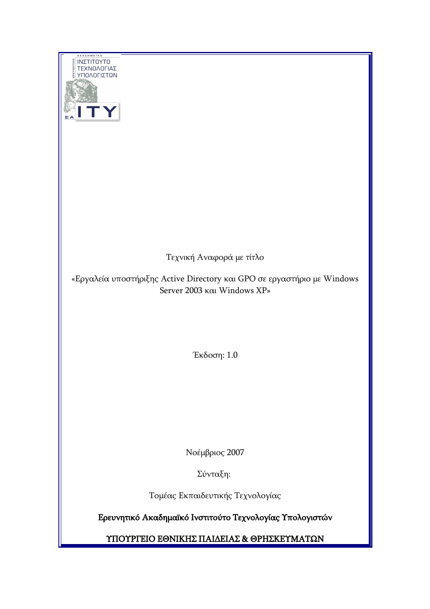| A K A ∆ H M A Ï K O<br>ΙΝΣΤΙΤΟΥΤΟ<br>ΤΕΧΝΟΛΟΓΙΑΣ<br>ΥΠΟΛΟΓΙΣΤΩΝ                                        |
|--------------------------------------------------------------------------------------------------------|
|                                                                                                        |
| Τεχνική Αναφορά με τίτλο                                                                               |
| «Εργαλεία υποστήριξης Active Directory και GPO σε εργαστήριο με Windows<br>Server 2003 και Windows XP» |
|                                                                                                        |
|                                                                                                        |
|                                                                                                        |
| Έκδοση: 1.0                                                                                            |
|                                                                                                        |
|                                                                                                        |
|                                                                                                        |
|                                                                                                        |
|                                                                                                        |
| Νοέμβριος 2007                                                                                         |
| Σύνταξη:                                                                                               |
| Τομέας Εκπαιδευτικής Τεχνολογίας                                                                       |
| Ερευνητικό Ακαδημαϊκό Ινστιτούτο Τεχνολογίας Υπολογιστών                                               |
| ΥΠΟΥΡΓΕΙΟ ΕΘΝΙΚΗΣ ΠΑΙΔΕΙΑΣ & ΘΡΗΣΚΕΥΜΑΤΩΝ                                                              |
|                                                                                                        |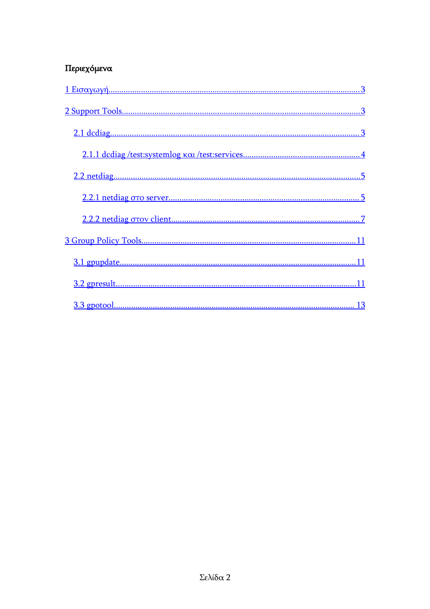#### Περιεχόμενα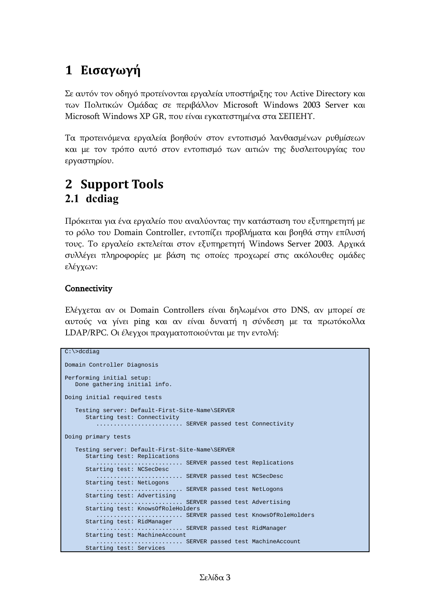# <span id="page-2-0"></span>**1 Εισαγωγή**

Σε αυτόν τον οδηγό προτείνονται εργαλεία υποστήριξης του Active Directory και των Πολιτικών Ομάδας σε περιβάλλον Microsoft Windows 2003 Server και Microsoft Windows XP GR, που είναι εγκατεστημένα στα ΣΕΠΕΗΥ.

Τα προτεινόμενα εργαλεία βοηθούν στον εντοπισμό λανθασμένων ρυθμίσεων και με τον τρόπο αυτό στον εντοπισμό των αιτιών της δυσλειτουργίας του εργαστηρίου.

## <span id="page-2-2"></span><span id="page-2-1"></span>**2 Support Tools 2.1 dcdiag**

Πρόκειται για ένα εργαλείο που αναλύοντας την κατάσταση του εξυπηρετητή με το ρόλο του Domain Controller, εντοπίζει προβλήματα και βοηθά στην επίλυσή τους. Το εργαλείο εκτελείται στον εξυπηρετητή Windows Server 2003. Αρχικά συλλέγει πληροφορίες με βάση τις οποίες προχωρεί στις ακόλουθες ομάδες ελέγχων:

#### **Connectivity**

Ελέγχεται αν οι Domain Controllers είναι δηλωμένοι στο DNS, αν μπορεί σε αυτούς να γίνει ping και αν είναι δυνατή η σύνδεση με τα πρωτόκολλα LDAP/RPC. Οι έλεγχοι πραγματοποιούνται με την εντολή:

```
C:\>dcdiag
Domain Controller Diagnosis
Performing initial setup:
   Done gathering initial info.
Doing initial required tests
    Testing server: Default-First-Site-Name\SERVER
      Starting test: Connectivity
          ......................... SERVER passed test Connectivity
Doing primary tests
    Testing server: Default-First-Site-Name\SERVER
      Starting test: Replications
           ......................... SERVER passed test Replications
      Starting test: NCSecDesc
           ......................... SERVER passed test NCSecDesc
      Starting test: NetLogons
         .............................. SERVER passed test NetLogons
       Starting test: Advertising
          ......................... SERVER passed test Advertising
       Starting test: KnowsOfRoleHolders
          ......................... SERVER passed test KnowsOfRoleHolders
       Starting test: RidManager
            ...................... SERVER passed test RidManager
       Starting test: MachineAccount
            ......................... SERVER passed test MachineAccount
       Starting test: Services
```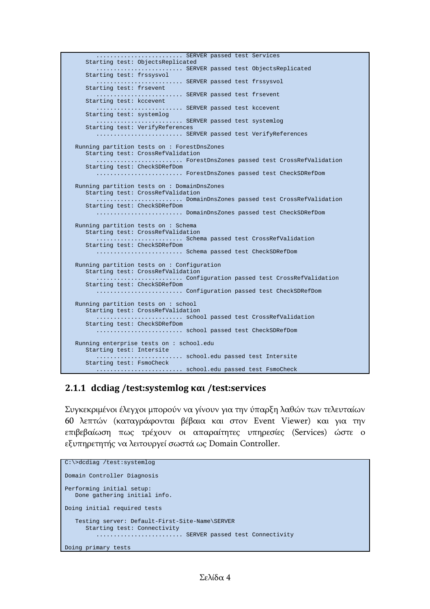```
........................ SERVER passed test Services
    Starting test: ObjectsReplicated
             .................... SERVER passed test ObjectsReplicated
    Starting test: frssysvol
       ......................... SERVER passed test frssysvol
    Starting test: frsevent
             ................... SERVER passed test frsevent
    Starting test: kccevent
      ........................... SERVER passed test kccevent
    Starting test: systemlog
                  ............... SERVER passed test systemlog
    Starting test: VerifyReferences
       ......................... SERVER passed test VerifyReferences
 Running partition tests on : ForestDnsZones
   Starting test: CrossRefValidation
       ......................... ForestDnsZones passed test CrossRefValidation
    Starting test: CheckSDRefDom
       ......................... ForestDnsZones passed test CheckSDRefDom
 Running partition tests on : DomainDnsZones
   Starting test: CrossRefValidation
       ......................... DomainDnsZones passed test CrossRefValidation
   Starting test: CheckSDRefDom
       ......................... DomainDnsZones passed test CheckSDRefDom
 Running partition tests on : Schema
   Starting test: CrossRefValidation
              ......................... Schema passed test CrossRefValidation
    Starting test: CheckSDRefDom
       ......................... Schema passed test CheckSDRefDom
 Running partition tests on : Configuration
    Starting test: CrossRefValidation
       ......................... Configuration passed test CrossRefValidation
   Starting test: CheckSDRefDom
             ................... Configuration passed test CheckSDRefDom
 Running partition tests on : school
   Starting test: CrossRefValidation
       ......................... school passed test CrossRefValidation
   Starting test: CheckSDRefDom
       ......................... school passed test CheckSDRefDom
 Running enterprise tests on : school.edu
   Starting test: Intersite
                    ......................... school.edu passed test Intersite
    Starting test: FsmoCheck
       ......................... school.edu passed test FsmoCheck
```
#### <span id="page-3-0"></span>**2.1.1 dcdiag /test:systemlog και /test:services**

Συγκεκριμένοι έλεγχοι μπορούν να γίνουν για την ύπαρξη λαθών των τελευταίων 60 λεπτών (καταγράφονται βέβαια και στον Event Viewer) και για την επιβεβαίωση πως τρέχουν οι απαραίτητες υπηρεσίες (Services) ώστε ο εξυπηρετητής να λειτουργεί σωστά ως Domain Controller.

```
C:\>dcdiag /test:systemlog
Domain Controller Diagnosis
Performing initial setup:
   Done gathering initial info.
Doing initial required tests
    Testing server: Default-First-Site-Name\SERVER
      Starting test: Connectivity
         ............................. SERVER passed test Connectivity
Doing primary tests
```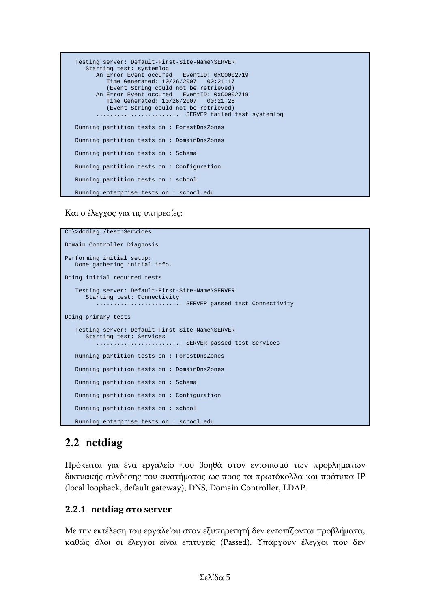```
 Testing server: Default-First-Site-Name\SERVER
   Starting test: systemlog
      An Error Event occured. EventID: 0xC0002719
         Time Generated: 10/26/2007 00:21:17
          (Event String could not be retrieved)
       An Error Event occured. EventID: 0xC0002719
         Time Generated: 10/26/2007 00:21:25
          (Event String could not be retrieved)
      ........................... SERVER failed test systemlog
 Running partition tests on : ForestDnsZones
 Running partition tests on : DomainDnsZones
 Running partition tests on : Schema
 Running partition tests on : Configuration
 Running partition tests on : school
 Running enterprise tests on : school.edu
```
Και ο έλεγχος για τις υπηρεσίες:

```
C:\>dcdiag /test:Services
Domain Controller Diagnosis
Performing initial setup:
   Done gathering initial info.
Doing initial required tests
    Testing server: Default-First-Site-Name\SERVER
      Starting test: Connectivity
         ........................... SERVER passed test Connectivity
Doing primary tests
    Testing server: Default-First-Site-Name\SERVER
      Starting test: Services
         .......................... SERVER passed test Services
   Running partition tests on : ForestDnsZones
    Running partition tests on : DomainDnsZones
   Running partition tests on : Schema
   Running partition tests on : Configuration
    Running partition tests on : school
    Running enterprise tests on : school.edu
```
### <span id="page-4-1"></span>**2.2 netdiag**

Πρόκειται για ένα εργαλείο που βοηθά στον εντοπισμό των προβλημάτων δικτυακής σύνδεσης του συστήματος ως προς τα πρωτόκολλα και πρότυπα IP (local loopback, default gateway), DNS, Domain Controller, LDAP.

#### <span id="page-4-0"></span>**2.2.1 netdiag στο server**

Με την εκτέλεση του εργαλείου στον εξυπηρετητή δεν εντοπίζονται προβλήματα, καθώς όλοι οι έλεγχοι είναι επιτυχείς (Passed). Υπάρχουν έλεγχοι που δεν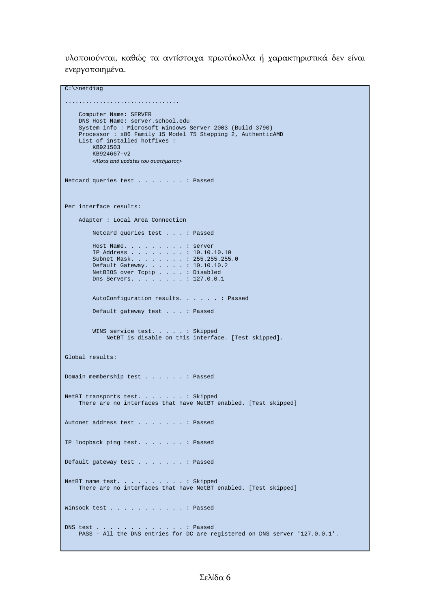υλοποιούνται, καθώς τα αντίστοιχα πρωτόκολλα ή χαρακτηριστικά δεν είναι ενεργοποιημένα.

```
C:\>netdiag
.................................
    Computer Name: SERVER
    DNS Host Name: server.school.edu
    System info : Microsoft Windows Server 2003 (Build 3790)
    Processor : x86 Family 15 Model 75 Stepping 2, AuthenticAMD
    List of installed hotfixes : 
        KB921503
         KB924667-v2
         <Λίστα από updates του συστήματος>
Netcard queries test . . . . . . . : Passed
Per interface results:
    Adapter : Local Area Connection
         Netcard queries test . . . : Passed
        Host Name. . . . . . . . . : server
         IP Address . . . . . . . . : 10.10.10.10
         Subnet Mask. . . . . . . . : 255.255.255.0
         Default Gateway. . . . . . : 10.10.10.2
NetBIOS over Tcpip . . . . : Disabled
Dns Servers. . . . . . . : 127.0.0.1
        AutoConfiguration results. . . . . . : Passed
        Default gateway test . . . : Passed
        WINS service test. . . . . : Skipped
             NetBT is disable on this interface. [Test skipped].
Global results:
Domain membership test . . . . . . : Passed
NetBT transports test. . . . . . . : Skipped
    There are no interfaces that have NetBT enabled. [Test skipped]
Autonet address test . . . . . . . : Passed
IP loopback ping test. . . . . . . : Passed
Default gateway test . . . . . . . : Passed
NetBT name test. . . . . . . . . . : Skipped
    There are no interfaces that have NetBT enabled. [Test skipped]
Winsock test . . . . . . . . . . . : Passed
DNS test . . . . . . . . . . . . . : Passed
    PASS - All the DNS entries for DC are registered on DNS server '127.0.0.1'.
```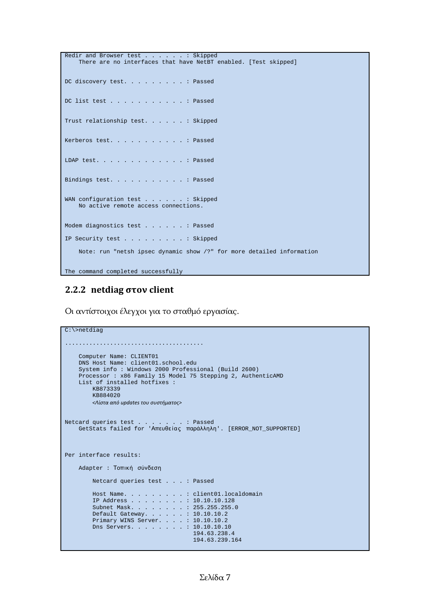```
Redir and Browser test . . . . . . Skipped
    There are no interfaces that have NetBT enabled. [Test skipped]
DC discovery test. . . . . . . . . : Passed
DC list test . . . . . . . . . . . : Passed
Trust relationship test. . . . . . : Skipped
Kerberos test. . . . . . . . . . . : Passed
LDAP test. . . . . . . . . . . . . : Passed
Bindings test. . . . . . . . . . . : Passed
WAN configuration test . . . . . . : Skipped
    No active remote access connections.
Modem diagnostics test . . . . . . : Passed
IP Security test . . . . . . . . . : Skipped
     Note: run "netsh ipsec dynamic show /?" for more detailed information
The command completed successfully
```
#### <span id="page-6-0"></span>**2.2.2 netdiag στον client**

Οι αντίστοιχοι έλεγχοι για το σταθμό εργασίας.

```
C:\>netdiag
........................................
     Computer Name: CLIENT01
     DNS Host Name: client01.school.edu
     System info : Windows 2000 Professional (Build 2600)
     Processor : x86 Family 15 Model 75 Stepping 2, AuthenticAMD
     List of installed hotfixes : 
         KB873339
         KB884020
         <Λίστα από updates του συστήματος>
Netcard queries test . . . . . . . : Passed
    GetStats failed for 'Απευθε ίας παράλληλη'. [ERROR_NOT_SUPPORTED]
Per interface results:
    Adapter : Τοπική σύνδεση
         Netcard queries test . . . : Passed
         Host Name. . . . . . . . . : client01.localdomain
 IP Address . . . . . . . . : 10.10.10.128
Subnet Mask. . . . . . . . : 255.255.255.0
 Default Gateway. . . . . . : 10.10.10.2
         Primary WINS Server. . . . : 10.10.10.2
         Dns Servers. . . . . . . . : 10.10.10.10
                                      194.63.238.4
                                      194.63.239.164
```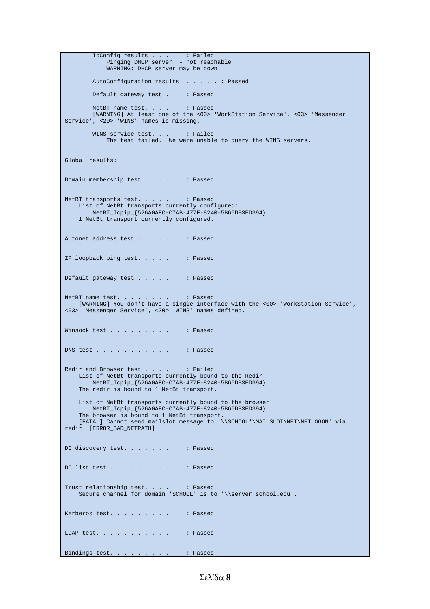```
 IpConfig results . . . . . : Failed
Pinging DHCP server - not reachable
            WARNING: DHCP server may be down.
       AutoConfiguration results. . . . . . : Passed
        Default gateway test . . . : Passed
NetBT name test. . . . . . : Passed
 [WARNING] At least one of the <00> 'WorkStation Service', <03> 'Messenger
Service', <20> 'WINS' names is missing.
WINS service test. . . . . : Failed
The test failed. We were unable to query the WINS servers.
Global results:
Domain membership test . . . . . . : Passed
NetBT transports test. . . . . . . : Passed
 List of NetBt transports currently configured:
        NetBT_Tcpip_{526A0AFC-C7AB-477F-8240-5B66DB3ED394}
     1 NetBt transport currently configured.
Autonet address test . . . . . . . : Passed
IP loopback ping test. . . . . . . : Passed
Default gateway test . . . . . . . : Passed
NetBT name test. . . . . . . . . . : Passed
 [WARNING] You don't have a single interface with the <00> 'WorkStation Service',
<03> 'Messenger Service', <20> 'WINS' names defined.
Winsock test . . . . . . . . . . . : Passed
DNS test . . . . . . . . . . . . . : Passed
Redir and Browser test . . . . . . : Failed
 List of NetBt transports currently bound to the Redir
        NetBT_Tcpip_{526A0AFC-C7AB-477F-8240-5B66DB3ED394}
    The redir is bound to 1 NetBt transport.
    List of NetBt transports currently bound to the browser
        NetBT_Tcpip_{526A0AFC-C7AB-477F-8240-5B66DB3ED394}
    The browser is bound to 1 NetBt transport.
     [FATAL] Cannot send mailslot message to '\\SCHOOL*\MAILSLOT\NET\NETLOGON' via
redir. [ERROR_BAD_NETPATH]
DC discovery test. . . . . . . . . : Passed
DC list test . . . . . . . . . . . Passed
Trust relationship test. . . . . . : Passed
 Secure channel for domain 'SCHOOL' is to '\\server.school.edu'.
Kerberos test. . . . . . . . . . . : Passed
LDAP test. . . . . . . . . . . . . : Passed
Bindings test. . . . . . . . . . . : Passed
```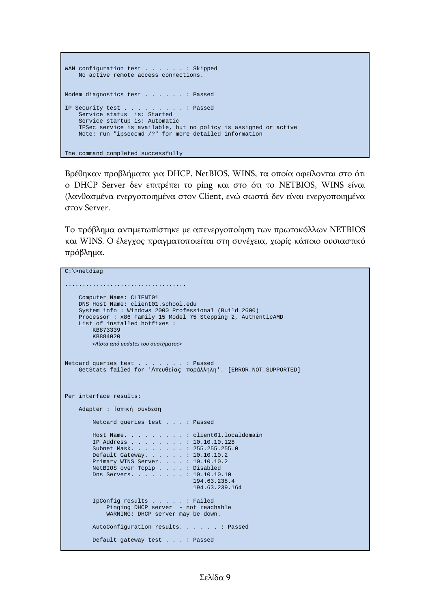```
WAN configuration test . . . . . . Skipped
    No active remote access connections.
Modem diagnostics test . . . . . . : Passed
IP Security test . . . . . . . . . : Passed
 Service status is: Started
    Service startup is: Automatic
    IPSec service is available, but no policy is assigned or active
    Note: run "ipseccmd /?" for more detailed information
The command completed successfully
```
Βρέθηκαν προβλήματα για DHCP, NetBIOS, WINS, τα οποία οφείλονται στο ότι ο DHCP Server δεν επιτρέπει το ping και στο ότι το NETBIOS, WINS είναι (λανθασμένα ενεργοποιημένα στον Client, ενώ σωστά δεν είναι ενεργοποιημένα στον Server.

Το πρόβλημα αντιμετωπίστηκε με απενεργοποίηση των πρωτοκόλλων NETBIOS και WINS. Ο έλεγχος πραγματοποιείται στη συνέχεια, χωρίς κάποιο ουσιαστικό πρόβλημα.

```
C:\>netdiag
...................................
    Computer Name: CLIENT01
     DNS Host Name: client01.school.edu
     System info : Windows 2000 Professional (Build 2600)
     Processor : x86 Family 15 Model 75 Stepping 2, AuthenticAMD
     List of installed hotfixes : 
         KB873339
         KB884020
         <Λίστα από updates του συστήματος>
Netcard queries test . . . . . . . : Passed
    GetStats failed for 'Απευθε ίας παράλληλη'. [ERROR_NOT_SUPPORTED]
Per interface results:
    Adapter : Τοπική σύνδεση
         Netcard queries test . . . : Passed
         Host Name. . . . . . . . . : client01.localdomain
         IP Address . . . . . . . . : 10.10.10.128
         Subnet Mask. . . . . . . . : 255.255.255.0
         Default Gateway. . . . . . : 10.10.10.2
         Primary WINS Server. . . . : 10.10.10.2
         NetBIOS over Tcpip . . . . : Disabled
         Dns Servers. . . . . . . . : 10.10.10.10
                                      194.63.238.4
                                      194.63.239.164
 IpConfig results . . . . . : Failed
Pinging DHCP server - not reachable
             WARNING: DHCP server may be down.
         AutoConfiguration results. . . . . . : Passed
         Default gateway test . . . : Passed
```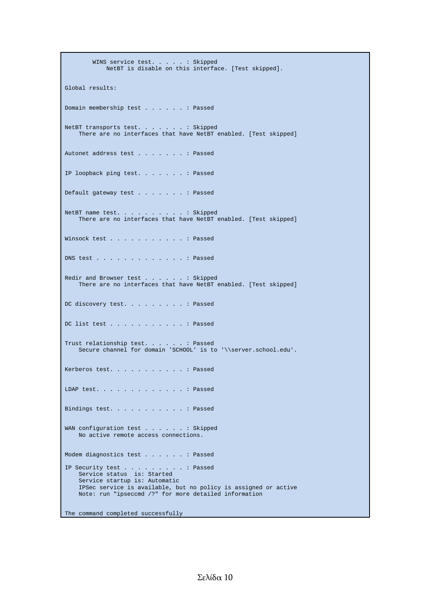WINS service test. . . . . : Skipped NetBT is disable on this interface. [Test skipped]. Global results: Domain membership test . . . . . . : Passed NetBT transports test. . . . . . . : Skipped There are no interfaces that have NetBT enabled. [Test skipped] Autonet address test . . . . . . . : Passed IP loopback ping test. . . . . . . : Passed Default gateway test . . . . . . . : Passed NetBT name test. . . . . . . . . . : Skipped There are no interfaces that have NetBT enabled. [Test skipped] Winsock test . . . . . . . . . . . : Passed DNS test . . . . . . . . . . . . . : Passed Redir and Browser test . . . . . . : Skipped There are no interfaces that have NetBT enabled. [Test skipped] DC discovery test. . . . . . . . . : Passed DC list test . . . . . . . . . . . : Passed Trust relationship test. . . . . . : Passed Secure channel for domain 'SCHOOL' is to '\\server.school.edu'. Kerberos test. . . . . . . . . . . : Passed LDAP test. . . . . . . . . . . . . : Passed Bindings test. . . . . . . . . . . : Passed WAN configuration test . . . . . . Skipped No active remote access connections. Modem diagnostics test . . . . . . : Passed IP Security test . . . . . . . . . : Passed Service status is: Started Service startup is: Automatic IPSec service is available, but no policy is assigned or active Note: run "ipseccmd /?" for more detailed information

The command completed successfully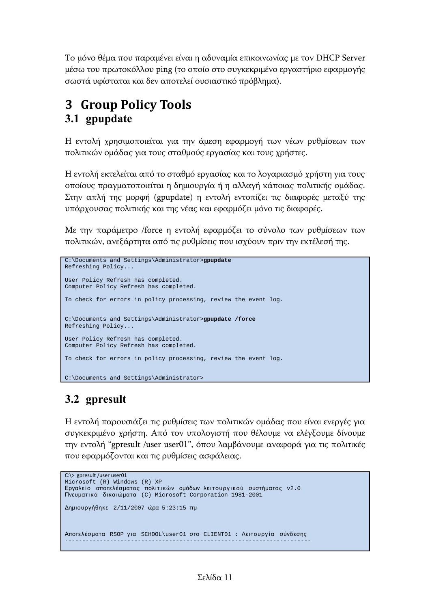Το μόνο θέμα που παραμένει είναι η αδυναμία επικοινωνίας με τον DHCP Server μέσω του πρωτοκόλλου ping (το οποίο στο συγκεκριμένο εργαστήριο εφαρμογής σωστά υφίσταται και δεν αποτελεί ουσιαστικό πρόβλημα).

## <span id="page-10-2"></span><span id="page-10-1"></span>**3 Group Policy Tools 3.1 gpupdate**

Η εντολή χρησιμοποιείται για την άμεση εφαρμογή των νέων ρυθμίσεων των πολιτικών ομάδας για τους σταθμούς εργασίας και τους χρήστες.

Η εντολή εκτελείται από το σταθμό εργασίας και το λογαριασμό χρήστη για τους οποίους πραγματοποιείται η δημιουργία ή η αλλαγή κάποιας πολιτικής ομάδας. Στην απλή της μορφή (gpupdate) η εντολή εντοπίζει τις διαφορές μεταξύ της υπάρχουσας πολιτικής και της νέας και εφαρμόζει μόνο τις διαφορές.

Με την παράμετρο /force η εντολή εφαρμόζει το σύνολο των ρυθμίσεων των πολιτικών, ανεξάρτητα από τις ρυθμίσεις που ισχύουν πριν την εκτέλεσή της.

```
C:\Documents and Settings\Administrator>gpupdate
Refreshing Policy...
User Policy Refresh has completed.
Computer Policy Refresh has completed.
To check for errors in policy processing, review the event log.
C:\Documents and Settings\Administrator>gpupdate /force
Refreshing Policy...
User Policy Refresh has completed.
Computer Policy Refresh has completed.
To check for errors in policy processing, review the event log.
C:\Documents and Settings\Administrator>
```
## <span id="page-10-0"></span>**3.2 gpresult**

Η εντολή παρουσιάζει τις ρυθμίσεις των πολιτικών ομάδας που είναι ενεργές για συγκεκριμένο χρήστη. Από τον υπολογιστή που θέλουμε να ελέγξουμε δίνουμε την εντολή "gpresult /user user01", όπου λαμβάνουμε αναφορά για τις πολιτικές που εφαρμόζονται και τις ρυθμίσεις ασφάλειας.

```
C:\> gpresult /user user01
Microsoft (R) Windows (R) XP 
Εργαλείο αποτελέσματος πολιτικών ομάδων λειτουργικού συστήματος v2.0
Πνευματικά δικαιώματα (C) Microsoft Corporation 1981-2001
Δημιουργήθηκε 2/11/2007 ώρα 5:23:15 πμ
Αποτελέσματα RSOP για SCHOOL\user01 στο CLIENT01 : Λειτουργία σύνδεσης
-----------------------------------------------------------------------
```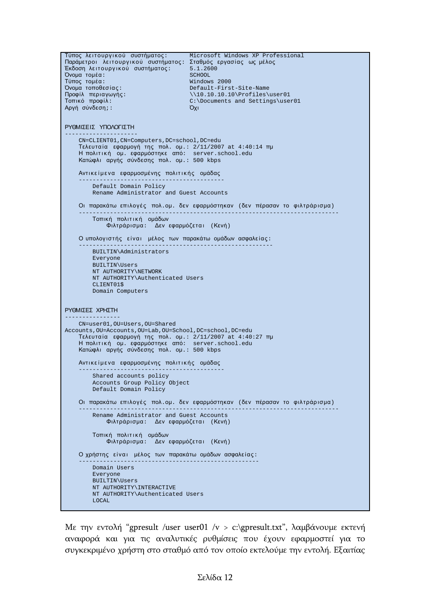```
Τύπος λειτουργικού συστήματος: Microsoft Windows XP Professional
Παράμετροι λειτουργικού συστήματος: Σταθμός εργασίας ως μέλος<br>Έκδοση λειτουργικού συστήματος: 5.1.2600
Έκδοση λειτουργικού συστήματος: 5.1.260<br>Όνουα τουέα: 5000
Όνομα τομέα: SCHOOL<br>Τύπος τομέα: SCHOOL - SCHOOL - SCHOOL
Τύπος τομέα:<br>Όνομα τοποθεσίας:
                                     Default-First-Site-Name
Προφίλ περιαγωγής: \\10.10.10.10\Profiles\user01
                                     C:\Documents and Settings\user01<br>Όχι
Αργή σύνδεση;:
ΡΥΘΜΙΣΕΙΣ ΥΠΟΛΟΓΙΣΤΗ
---------------------
     CN=CLIENT01,CN=Computers,DC=school,DC=edu
     Τελευτα ία εφαρμογή της πολ. ομ.: 2/11/2007 at 4:40:14 πμ
    Η πολιτική ομ. εφαρμόστηκε από: server.school.edu
    Κατώφλι αργής σύνδεσης πολ. ομ.: 500 kbps
    Αντικείμενα εφαρμοσμένης πολιτικής ομάδας
 ------------------------------------------
         Default Domain Policy
         Rename Administrator and Guest Accounts
     Οι παρακάτω επιλογές πολ.ομ. δεν εφαρμόστηκαν (δεν πέρασαν το φιλτράρ ισμα)
 ---------------------------------------------------------------------------
        Τοπική πολιτική ομάδων
            Φιλτράρισμα: Δεν εφαρμόζε τα ι (Κενή)
    Ο υπολογιστής είναι μέλος των παρακάτω ομάδων ασφαλείας:
 --------------------------------------------------------
         BUILTIN\Administrators
         Everyone
         BUILTIN\Users
         NT AUTHORITY\NETWORK
         NT AUTHORITY\Authenticated Users
         CLIENT01$
         Domain Computers
ΡΥΘΜΙΣΕΣ ΧΡΗΣΤΗ
----------------
    CN=user01,OU=Users,OU=Shared
Accounts,OU=Accounts,OU=Lab,OU=School,DC=school,DC=edu
     Τελευτα ία εφαρμογή της πολ. ομ.: 2/11/2007 at 4:40:27 πμ
    Η πολιτική ομ. εφαρμόστηκε από: server.school.edu
    Κατώφλι αργής σύνδεσης πολ. ομ.: 500 kbps
    Αντικείμενα εφαρμοσμένης πολιτικής ομάδας
 ------------------------------------------
         Shared accounts policy
         Accounts Group Policy Object
         Default Domain Policy
     Οι παρακάτω επιλογές πολ.ομ. δεν εφαρμόστηκαν (δεν πέρασαν το φιλτράρ ισμα)
 ---------------------------------------------------------------------------
         Rename Administrator and Guest Accounts
             Φιλτράρισμα: Δεν εφαρμόζε τα ι (Κενή)
        Τοπική πολιτική ομάδων
            Φιλτράρισμα: Δεν εφαρμόζεται (Κενή)
    Ο χρήστης είναι μέλος των παρακάτω ομάδων ασφαλείας:
 ----------------------------------------------------
         Domain Users
         Everyone
         BUILTIN\Users
         NT AUTHORITY\INTERACTIVE
         NT AUTHORITY\Authenticated Users
         LOCAL
```
Με την εντολή "gpresult /user user01 /v > c:\gpresult.txt", λαμβάνουμε εκτενή αναφορά και για τις αναλυτικές ρυθμίσεις που έχουν εφαρμοστεί για το συγκεκριμένο χρήστη στο σταθμό από τον οποίο εκτελούμε την εντολή. Εξαιτίας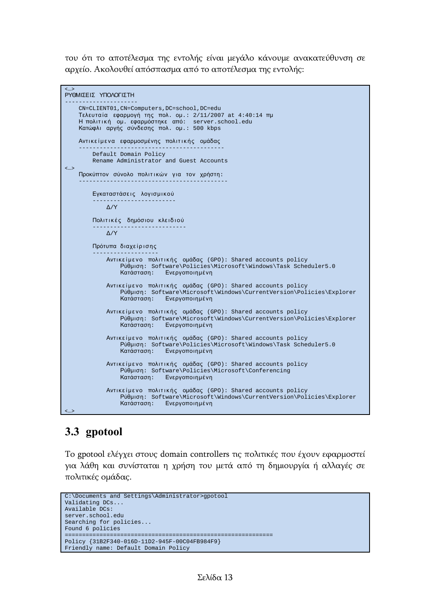του ότι το αποτέλεσμα της εντολής είναι μεγάλο κάνουμε ανακατεύθυνση σε αρχείο. Ακολουθεί απόσπασμα από το αποτέλεσμα της εντολής:

```
<…>
ΡΥΘΜΙΣΕΙΣ ΥΠΟΛΟΓΙΣΤΗ
---------------------
     CN=CLIENT01,CN=Computers,DC=school,DC=edu
    Τελευτα ία εφαρμογή της πολ. ομ.: 2/11/2007 at 4:40:14 πμ
    Η πολιτική ομ. εφαρμόστηκε από: server.school.edu
    Κατώφλι αργής σύνδεσης πολ. ομ.: 500 kbps
   Αντικείμενα εφαρμοσμένης πολιτικής ομάδας
 ------------------------------------------
        Default Domain Policy
        Rename Administrator and Guest Accounts
<…>
   Προκύπτον σύνολο πολιτικών για τον χρήστη:
 -------------------------------------------
       Εγκαταστάσεις λογισμικού
 ------------------------
           Δ/Υ
       Πολιτικές δημόσιου κλειδιού
 ---------------------------
           Δ/Υ
       Πρότυπα διαχε ίρ ισης
 -------------------
            Αντικείμενο πολιτικής ομάδας (GPO): Shared accounts policy
                Ρύθμιση: Software\Policies\Microsoft\Windows\Task Scheduler5.0
                            Ενεργοποιημένη
           Αντικείμενο πολιτικής ομάδας (GPO): Shared accounts policy
                Ρύθμιση: Software\Microsoft\Windows\CurrentVersion\Policies\Explorer
                Κατάσταση: Ενεργοποιημένη
            Αντικείμενο πολιτικής ομάδας (GPO): Shared accounts policy
                Ρύθμιση: Software\Microsoft\Windows\CurrentVersion\Policies\Explorer
                            Ενεργοποιημένη
            Αντικείμενο πολιτικής ομάδας (GPO): Shared accounts policy
                 Ρύθμιση: Software\Policies\Microsoft\Windows\Task Scheduler5.0
                Κατάσταση: Ενεργοποιημένη
            Αντικείμενο πολιτικής ομάδας (GPO): Shared accounts policy
                Ρύθμιση: Software\Policies\Microsoft\Conferencing
                            Ενεργοποιημένη
           Αντικείμενο πολιτικής ομάδας (GPO): Shared accounts policy
                Ρύθμιση: Software\Microsoft\Windows\CurrentVersion\Policies\Explorer
               Κατάσταση: Ενεργοποιημένη
<…>
```
### <span id="page-12-0"></span>**3.3 gpotool**

Το gpotool ελέγχει στους domain controllers τις πολιτικές που έχουν εφαρμοστεί για λάθη και συνίσταται η χρήση του μετά από τη δημιουργία ή αλλαγές σε πολιτικές ομάδας.

```
C:\Documents and Settings\Administrator>gpotool
Validating DCs...
Available DCs:
server.school.edu
Searching for policies...
Found 6 policies
 ============================================================
Policy {31B2F340-016D-11D2-945F-00C04FB984F9}
Friendly name: Default Domain Policy
```